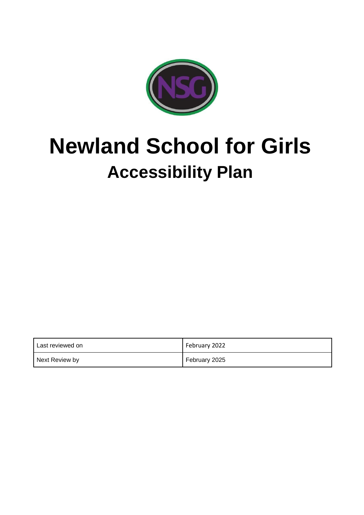

# **Newland School for Girls Accessibility Plan**

| l Last reviewed on | February 2022 |
|--------------------|---------------|
| Next Review by     | February 2025 |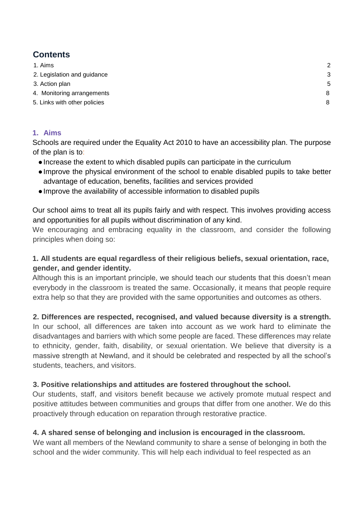# **Contents**

| 1. Aims                      | 2 |
|------------------------------|---|
| 2. Legislation and guidance  | 3 |
| 3. Action plan               | 5 |
| 4. Monitoring arrangements   | 8 |
| 5. Links with other policies | 8 |
|                              |   |

## <span id="page-1-0"></span>**1. Aims**

Schools are required under the Equality Act 2010 to have an accessibility plan. The purpose of the plan is to:

- ●Increase the extent to which disabled pupils can participate in the curriculum
- ●Improve the physical environment of the school to enable disabled pupils to take better advantage of education, benefits, facilities and services provided
- ●Improve the availability of accessible information to disabled pupils

Our school aims to treat all its pupils fairly and with respect. This involves providing access and opportunities for all pupils without discrimination of any kind.

We encouraging and embracing equality in the classroom, and consider the following principles when doing so:

## **1. All students are equal regardless of their religious beliefs, sexual orientation, race, gender, and gender identity.**

Although this is an important principle, we should teach our students that this doesn't mean everybody in the classroom is treated the same. Occasionally, it means that people require extra help so that they are provided with the same opportunities and outcomes as others.

## **2. Differences are respected, recognised, and valued because diversity is a strength.**

In our school, all differences are taken into account as we work hard to eliminate the disadvantages and barriers with which some people are faced. These differences may relate to ethnicity, gender, faith, disability, or sexual orientation. We believe that diversity is a massive strength at Newland, and it should be celebrated and respected by all the school's students, teachers, and visitors.

#### **3. Positive relationships and attitudes are fostered throughout the school.**

Our students, staff, and visitors benefit because we actively promote mutual respect and positive attitudes between communities and groups that differ from one another. We do this proactively through education on reparation through restorative practice.

#### **4. A shared sense of belonging and inclusion is encouraged in the classroom.**

We want all members of the Newland community to share a sense of belonging in both the school and the wider community. This will help each individual to feel respected as an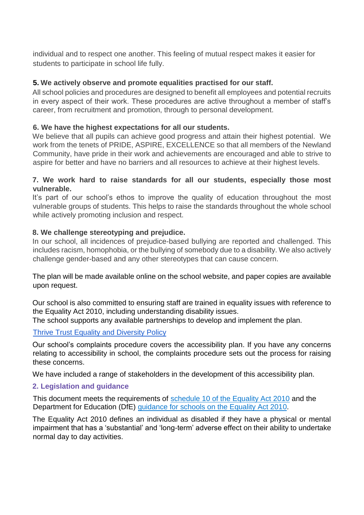individual and to respect one another. This feeling of mutual respect makes it easier for students to participate in school life fully.

#### **5. We actively observe and promote equalities practised for our staff.**

All school policies and procedures are designed to benefit all employees and potential recruits in every aspect of their work. These procedures are active throughout a member of staff's career, from recruitment and promotion, through to personal development.

#### **6. We have the highest expectations for all our students.**

We believe that all pupils can achieve good progress and attain their highest potential. We work from the tenets of PRIDE, ASPIRE, EXCELLENCE so that all members of the Newland Community, have pride in their work and achievements are encouraged and able to strive to aspire for better and have no barriers and all resources to achieve at their highest levels.

#### **7. We work hard to raise standards for all our students, especially those most vulnerable.**

It's part of our school's ethos to improve the quality of education throughout the most vulnerable groups of students. This helps to raise the standards throughout the whole school while actively promoting inclusion and respect.

#### **8. We challenge stereotyping and prejudice.**

In our school, all incidences of prejudice-based bullying are reported and challenged. This includes racism, homophobia, or the bullying of somebody due to a disability. We also actively challenge gender-based and any other stereotypes that can cause concern.

The plan will be made available online on the school website, and paper copies are available upon request.

Our school is also committed to ensuring staff are trained in equality issues with reference to the Equality Act 2010, including understanding disability issues.

The school supports any available partnerships to develop and implement the plan.

#### [Thrive Trust Equality and Diversity](https://dcda11a9-bdf2-446e-8ab4-03ca85e0b110.filesusr.com/ugd/2e3fd5_6ebad42853114c2392b4f6c1e8c493bd.pdf) [Policy](https://dcda11a9-bdf2-446e-8ab4-03ca85e0b110.filesusr.com/ugd/2e3fd5_6ebad42853114c2392b4f6c1e8c493bd.pdf)

Our school's complaints procedure covers the accessibility plan. If you have any concerns relating to accessibility in school, the complaints procedure sets out the process for raising these concerns.

We have included a range of stakeholders in the development of this accessibility plan.

#### <span id="page-2-0"></span>**2. Legislation and guidance**

This document meets the requirements of [schedule 10 of the Equality Act 2010](http://www.legislation.gov.uk/ukpga/2010/15/schedule/10) and the Department for Education (DfE) [guidance for schools on the Equality Act 2010.](https://www.gov.uk/government/publications/equality-act-2010-advice-for-schools)

The Equality Act 2010 defines an individual as disabled if they have a physical or mental impairment that has a 'substantial' and 'long-term' adverse effect on their ability to undertake normal day to day activities.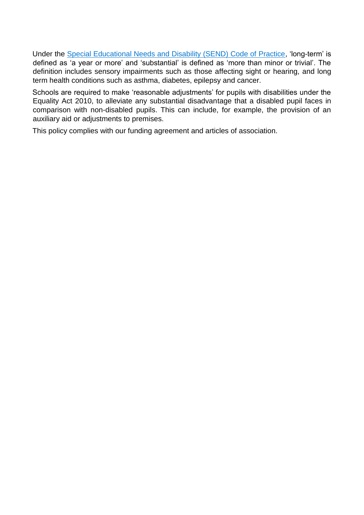Under the [Special Educational Needs and Disability \(SEND\) Code of Practice,](https://www.gov.uk/government/publications/send-code-of-practice-0-to-25) 'long-term' is defined as 'a year or more' and 'substantial' is defined as 'more than minor or trivial'. The definition includes sensory impairments such as those affecting sight or hearing, and long term health conditions such as asthma, diabetes, epilepsy and cancer.

Schools are required to make 'reasonable adjustments' for pupils with disabilities under the Equality Act 2010, to alleviate any substantial disadvantage that a disabled pupil faces in comparison with non-disabled pupils. This can include, for example, the provision of an auxiliary aid or adjustments to premises.

This policy complies with our funding agreement and articles of association.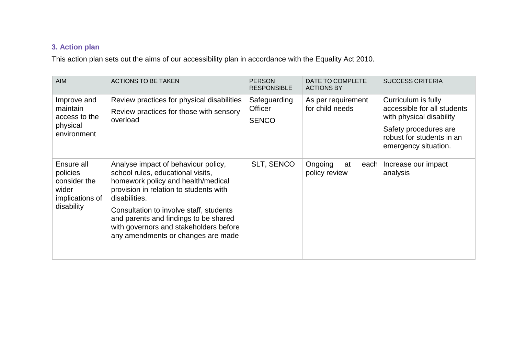# **3. Action plan**

This action plan sets out the aims of our accessibility plan in accordance with the Equality Act 2010.

<span id="page-4-0"></span>

| <b>AIM</b>                                                                       | <b>ACTIONS TO BE TAKEN</b>                                                                                                                                                                                                                                                                                                                    | <b>PERSON</b><br><b>RESPONSIBLE</b>     | DATE TO COMPLETE<br><b>ACTIONS BY</b>  | <b>SUCCESS CRITERIA</b>                                                                                                                                      |
|----------------------------------------------------------------------------------|-----------------------------------------------------------------------------------------------------------------------------------------------------------------------------------------------------------------------------------------------------------------------------------------------------------------------------------------------|-----------------------------------------|----------------------------------------|--------------------------------------------------------------------------------------------------------------------------------------------------------------|
| Improve and<br>maintain<br>access to the<br>physical<br>environment              | Review practices for physical disabilities<br>Review practices for those with sensory<br>overload                                                                                                                                                                                                                                             | Safeguarding<br>Officer<br><b>SENCO</b> | As per requirement<br>for child needs  | Curriculum is fully<br>accessible for all students<br>with physical disability<br>Safety procedures are<br>robust for students in an<br>emergency situation. |
| Ensure all<br>policies<br>consider the<br>wider<br>implications of<br>disability | Analyse impact of behaviour policy,<br>school rules, educational visits,<br>homework policy and health/medical<br>provision in relation to students with<br>disabilities.<br>Consultation to involve staff, students<br>and parents and findings to be shared<br>with governors and stakeholders before<br>any amendments or changes are made | <b>SLT, SENCO</b>                       | Ongoing<br>each<br>at<br>policy review | Increase our impact<br>analysis                                                                                                                              |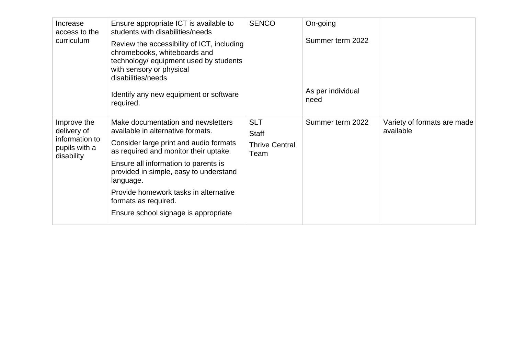| Increase<br>access to the<br>curriculum                                     | Ensure appropriate ICT is available to<br>students with disabilities/needs<br>Review the accessibility of ICT, including<br>chromebooks, whiteboards and<br>technology/ equipment used by students<br>with sensory or physical<br>disabilities/needs<br>Identify any new equipment or software                                                                                  | <b>SENCO</b>                                                | On-going<br>Summer term 2022<br>As per individual<br>need |                                          |
|-----------------------------------------------------------------------------|---------------------------------------------------------------------------------------------------------------------------------------------------------------------------------------------------------------------------------------------------------------------------------------------------------------------------------------------------------------------------------|-------------------------------------------------------------|-----------------------------------------------------------|------------------------------------------|
| Improve the<br>delivery of<br>information to<br>pupils with a<br>disability | required.<br>Make documentation and newsletters<br>available in alternative formats.<br>Consider large print and audio formats<br>as required and monitor their uptake.<br>Ensure all information to parents is<br>provided in simple, easy to understand<br>language.<br>Provide homework tasks in alternative<br>formats as required.<br>Ensure school signage is appropriate | <b>SLT</b><br><b>Staff</b><br><b>Thrive Central</b><br>Team | Summer term 2022                                          | Variety of formats are made<br>available |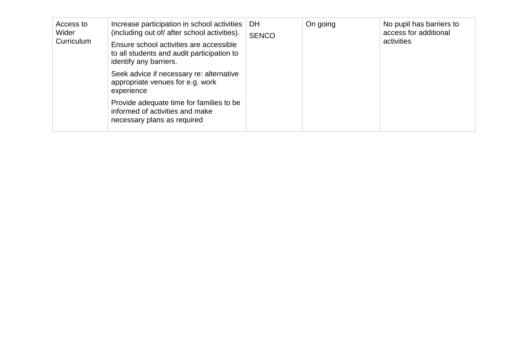| Access to<br>Wider<br>Curriculum | Increase participation in school activities<br>(including out of/ after school activities).<br>Ensure school activities are accessible<br>to all students and audit participation to<br>identify any barriers. | DH<br><b>SENCO</b> | On going | No pupil has barriers to<br>access for additional<br>activities |
|----------------------------------|----------------------------------------------------------------------------------------------------------------------------------------------------------------------------------------------------------------|--------------------|----------|-----------------------------------------------------------------|
|                                  | Seek advice if necessary re: alternative<br>appropriate venues for e.g. work<br>experience                                                                                                                     |                    |          |                                                                 |
|                                  | Provide adequate time for families to be<br>informed of activities and make<br>necessary plans as required                                                                                                     |                    |          |                                                                 |